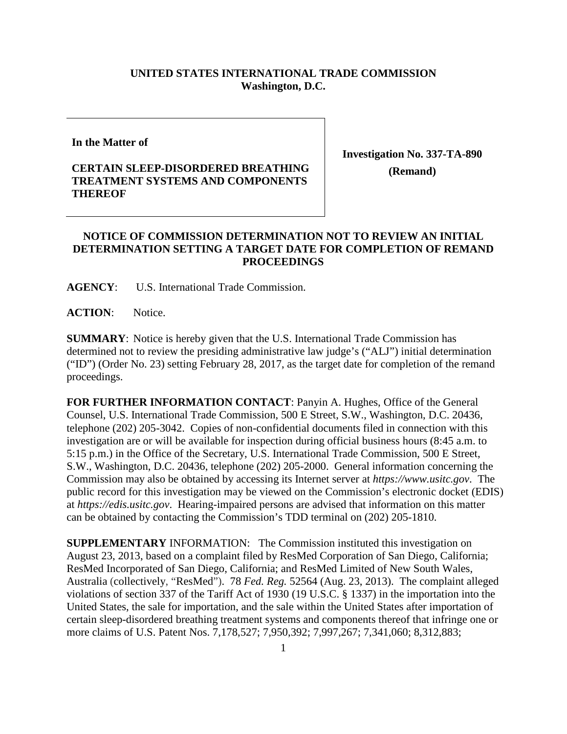## **UNITED STATES INTERNATIONAL TRADE COMMISSION Washington, D.C.**

**In the Matter of**

## **CERTAIN SLEEP-DISORDERED BREATHING TREATMENT SYSTEMS AND COMPONENTS THEREOF**

**Investigation No. 337-TA-890 (Remand)**

## **NOTICE OF COMMISSION DETERMINATION NOT TO REVIEW AN INITIAL DETERMINATION SETTING A TARGET DATE FOR COMPLETION OF REMAND PROCEEDINGS**

**AGENCY**: U.S. International Trade Commission.

**ACTION**: Notice.

**SUMMARY**: Notice is hereby given that the U.S. International Trade Commission has determined not to review the presiding administrative law judge's ("ALJ") initial determination ("ID") (Order No. 23) setting February 28, 2017, as the target date for completion of the remand proceedings.

**FOR FURTHER INFORMATION CONTACT**: Panyin A. Hughes, Office of the General Counsel, U.S. International Trade Commission, 500 E Street, S.W., Washington, D.C. 20436, telephone (202) 205-3042. Copies of non-confidential documents filed in connection with this investigation are or will be available for inspection during official business hours (8:45 a.m. to 5:15 p.m.) in the Office of the Secretary, U.S. International Trade Commission, 500 E Street, S.W., Washington, D.C. 20436, telephone (202) 205-2000. General information concerning the Commission may also be obtained by accessing its Internet server at *https://www.usitc.gov*. The public record for this investigation may be viewed on the Commission's electronic docket (EDIS) at *https://edis.usitc.gov*. Hearing-impaired persons are advised that information on this matter can be obtained by contacting the Commission's TDD terminal on (202) 205-1810.

**SUPPLEMENTARY** INFORMATION: The Commission instituted this investigation on August 23, 2013, based on a complaint filed by ResMed Corporation of San Diego, California; ResMed Incorporated of San Diego, California; and ResMed Limited of New South Wales, Australia (collectively, "ResMed"). 78 *Fed. Reg.* 52564 (Aug. 23, 2013). The complaint alleged violations of section 337 of the Tariff Act of 1930 (19 U.S.C. § 1337) in the importation into the United States, the sale for importation, and the sale within the United States after importation of certain sleep-disordered breathing treatment systems and components thereof that infringe one or more claims of U.S. Patent Nos. 7,178,527; 7,950,392; 7,997,267; 7,341,060; 8,312,883;